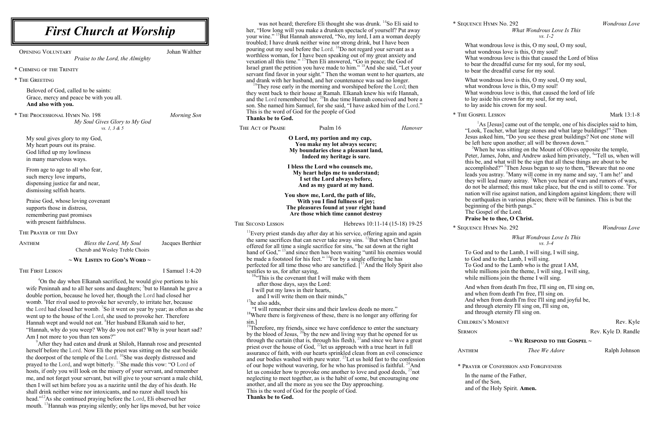was not heard; therefore Eli thought she was drunk. <sup>14</sup>So Eli said to her, "How long will you make a drunken spectacle of yourself? Put away

let us consider how to provoke one another to love and good deeds,  $^{25}$ not neglecting to meet together, as is the habit of some, but encouraging one another, and all the more as you see the Day approaching. This is the word of God for the people of God. **Thanks be to God.**

What wondrous love is this, O my soul, O my soul, what wondrous love is this, O my soul! What wondrous love is this that caused the Lord of bliss to bear the dreadful curse for my soul, for my soul, to bear the dreadful curse for my soul.

 $<sup>1</sup>$ As [Jesus] came out of the temple, one of his disciples said to him,</sup> "Look, Teacher, what large stones and what large buildings!" <sup>2</sup>Then Jesus asked him, "Do you see these great buildings? Not one stone will be left here upon another; all will be thrown down."

<sup>3</sup>When he was sitting on the Mount of Olives opposite the temple, Peter, James, John, and Andrew asked him privately, <sup>4</sup> Tell us, when will this be, and what will be the sign that all these things are about to be accomplished?"<sup>5</sup>Then Jesus began to say to them, "Beware that no one leads you astray. <sup>6</sup>Many will come in my name and say, 'I am he!' and they will lead many astray. <sup>7</sup>When you hear of wars and rumors of wars, do not be alarmed; this must take place, but the end is still to come. 8 For nation will rise against nation, and kingdom against kingdom; there will be earthquakes in various places; there will be famines. This is but the beginning of the birth pangs."

To God and to the Lamb, I will sing, I will sing, to God and to the Lamb, I will sing. To God and to the Lamb who is the great I AM, while millions join the theme, I will sing, I will sing, while millions join the theme I will sing.

### *What Wondrous Love Is This vs. 1-2*

herself before the Lord. Now Eli the priest was sitting on the seat beside the doorpost of the temple of the Lord. prayed to the Lord, and wept bitterly. <sup>11</sup>She made this vow: "O Lord of hosts, if only you will look on the misery of your servant, and remember me, and not forget your servant, but will give to your servant a male child, then I will set him before you as a nazirite until the day of his death. He shall drink neither wine nor intoxicants, and no razor shall touch his head." <sup>12</sup>As she continued praying before the Lord, Eli observed her mouth. <sup>13</sup>Hannah was praying silently; only her lips moved, but her voice

What wondrous love is this, O my soul, O my soul, what wondrous love is this, O my soul! What wondrous love is this, that caused the lord of life to lay aside his crown for my soul, for my soul, to lay aside his crown for my soul.

### \* The Gospel Lesson Mark 13:1-8

| <b>First Church at Worship</b>                                                                                                                                                                                                                                                                                                                                                                                                                                                                                                                                                                                                                                                                                                                                                                                                                                                                                                                                                                                                                   |                                                                                                                       |                                                                                                                                                                                | was not neare, therefore En thought site was druin. Too En said to<br>her, "How long will you make a drunken spectacle of yourself? Put away<br>your wine." <sup>15</sup> But Hannah answered, "No, my lord, I am a woman deeply<br>troubled; I have drunk neither wine nor strong drink, but I have been<br>pouring out my soul before the Lord. <sup>16</sup> Do not regard your servant as a<br>worthless woman, for I have been speaking out of my great anxiety and<br>vexation all this time." <sup>17</sup> Then Eli answered, "Go in peace; the God of<br>Israel grant the petition you have made to him." <sup>18</sup> And she said, "Let your<br>servant find favor in your sight." Then the woman went to her quarters, ate<br>and drank with her husband, and her countenance was sad no longer.<br><sup>19</sup> They rose early in the morning and worshiped before the Lord; then<br>they went back to their house at Ramah. Elkanah knew his wife Hannah,<br>and the Lord remembered her. <sup>20</sup> In due time Hannah conceived and bore a<br>son. She named him Samuel, for she said, "I have asked him of the Lord."<br>This is the word of God for the people of God<br>Thanks be to God. |         |
|--------------------------------------------------------------------------------------------------------------------------------------------------------------------------------------------------------------------------------------------------------------------------------------------------------------------------------------------------------------------------------------------------------------------------------------------------------------------------------------------------------------------------------------------------------------------------------------------------------------------------------------------------------------------------------------------------------------------------------------------------------------------------------------------------------------------------------------------------------------------------------------------------------------------------------------------------------------------------------------------------------------------------------------------------|-----------------------------------------------------------------------------------------------------------------------|--------------------------------------------------------------------------------------------------------------------------------------------------------------------------------|--------------------------------------------------------------------------------------------------------------------------------------------------------------------------------------------------------------------------------------------------------------------------------------------------------------------------------------------------------------------------------------------------------------------------------------------------------------------------------------------------------------------------------------------------------------------------------------------------------------------------------------------------------------------------------------------------------------------------------------------------------------------------------------------------------------------------------------------------------------------------------------------------------------------------------------------------------------------------------------------------------------------------------------------------------------------------------------------------------------------------------------------------------------------------------------------------------------------|---------|
| Johan Walther<br><b>OPENING VOLUNTARY</b><br>Praise to the Lord, the Almighty<br><b>CHIMING OF THE TRINITY</b><br>THE GREETING<br>Beloved of God, called to be saints:<br>Grace, mercy and peace be with you all.<br>And also with you.<br>THE PROCESSIONAL HYMN No. 198<br>Morning Son<br>My Soul Gives Glory to My God                                                                                                                                                                                                                                                                                                                                                                                                                                                                                                                                                                                                                                                                                                                         |                                                                                                                       |                                                                                                                                                                                |                                                                                                                                                                                                                                                                                                                                                                                                                                                                                                                                                                                                                                                                                                                                                                                                                                                                                                                                                                                                                                                                                                                                                                                                                    |         |
|                                                                                                                                                                                                                                                                                                                                                                                                                                                                                                                                                                                                                                                                                                                                                                                                                                                                                                                                                                                                                                                  | vs. 1, 3 & 5                                                                                                          |                                                                                                                                                                                | THE ACT OF PRAISE<br>Psalm 16                                                                                                                                                                                                                                                                                                                                                                                                                                                                                                                                                                                                                                                                                                                                                                                                                                                                                                                                                                                                                                                                                                                                                                                      | Hanover |
| My soul gives glory to my God,<br>My heart pours out its praise.<br>God lifted up my lowliness<br>in many marvelous ways.                                                                                                                                                                                                                                                                                                                                                                                                                                                                                                                                                                                                                                                                                                                                                                                                                                                                                                                        |                                                                                                                       | O Lord, my portion and my cup,<br>You make my lot always secure;<br>My boundaries close a pleasant land,<br>Indeed my heritage is sure.                                        |                                                                                                                                                                                                                                                                                                                                                                                                                                                                                                                                                                                                                                                                                                                                                                                                                                                                                                                                                                                                                                                                                                                                                                                                                    |         |
| From age to age to all who fear,<br>such mercy love imparts,<br>dispensing justice far and near,                                                                                                                                                                                                                                                                                                                                                                                                                                                                                                                                                                                                                                                                                                                                                                                                                                                                                                                                                 |                                                                                                                       | I bless the Lord who counsels me,<br>My heart helps me to understand;<br>I set the Lord always before,<br>And as my guard at my hand.                                          |                                                                                                                                                                                                                                                                                                                                                                                                                                                                                                                                                                                                                                                                                                                                                                                                                                                                                                                                                                                                                                                                                                                                                                                                                    |         |
| dismissing selfish hearts.<br>Praise God, whose loving covenant<br>supports those in distress,<br>remembering past promises<br>with present faithfulness.                                                                                                                                                                                                                                                                                                                                                                                                                                                                                                                                                                                                                                                                                                                                                                                                                                                                                        |                                                                                                                       | You show me, Lord, the path of life,<br>With you I find fullness of joy;<br>The pleasures found at your right hand<br>Are those which time cannot destroy<br>THE SECOND LESSON | Hebrews 10:11-14 (15-18) 19-25                                                                                                                                                                                                                                                                                                                                                                                                                                                                                                                                                                                                                                                                                                                                                                                                                                                                                                                                                                                                                                                                                                                                                                                     |         |
| THE PRAYER OF THE DAY                                                                                                                                                                                                                                                                                                                                                                                                                                                                                                                                                                                                                                                                                                                                                                                                                                                                                                                                                                                                                            |                                                                                                                       |                                                                                                                                                                                |                                                                                                                                                                                                                                                                                                                                                                                                                                                                                                                                                                                                                                                                                                                                                                                                                                                                                                                                                                                                                                                                                                                                                                                                                    |         |
| ANTHEM                                                                                                                                                                                                                                                                                                                                                                                                                                                                                                                                                                                                                                                                                                                                                                                                                                                                                                                                                                                                                                           | Bless the Lord, My Soul<br>Jacques Berthier<br>Cherub and Wesley Treble Choirs                                        |                                                                                                                                                                                | $11$ Every priest stands day after day at his service, offering again and again<br>the same sacrifices that can never take away sins. <sup>12</sup> But when Christ had<br>offered for all time a single sacrifice for sins, "he sat down at the right<br>hand of God," <sup>13</sup> and since then has been waiting "until his enemies would                                                                                                                                                                                                                                                                                                                                                                                                                                                                                                                                                                                                                                                                                                                                                                                                                                                                     |         |
|                                                                                                                                                                                                                                                                                                                                                                                                                                                                                                                                                                                                                                                                                                                                                                                                                                                                                                                                                                                                                                                  | $\sim$ We Listen to God's Word $\sim$                                                                                 |                                                                                                                                                                                | be made a footstool for his feet." <sup>14</sup> For by a single offering he has                                                                                                                                                                                                                                                                                                                                                                                                                                                                                                                                                                                                                                                                                                                                                                                                                                                                                                                                                                                                                                                                                                                                   |         |
|                                                                                                                                                                                                                                                                                                                                                                                                                                                                                                                                                                                                                                                                                                                                                                                                                                                                                                                                                                                                                                                  | THE FIRST LESSON<br>I Samuel 1:4-20<br><sup>4</sup> On the day when Elkanah sacrificed, he would give portions to his |                                                                                                                                                                                | perfected for all time those who are sanctified. [ <sup>15</sup> And the Holy Spirit also<br>testifies to us, for after saying,<br><sup>16</sup> "This is the covenant that I will make with them                                                                                                                                                                                                                                                                                                                                                                                                                                                                                                                                                                                                                                                                                                                                                                                                                                                                                                                                                                                                                  |         |
| wife Peninnah and to all her sons and daughters; <sup>5</sup> but to Hannah he gave a<br>double portion, because he loved her, though the Lord had closed her<br>womb. <sup>6</sup> Her rival used to provoke her severely, to irritate her, because<br>the Lord had closed her womb. <sup>7</sup> So it went on year by year; as often as she<br>went up to the house of the Lord, she used to provoke her. Therefore<br>Hannah wept and would not eat. <sup>8</sup> Her husband Elkanah said to her,<br>"Hannah, why do you weep? Why do you not eat? Why is your heart sad?<br>Am I not more to you than ten sons?"<br><sup>9</sup> After they had eaten and drunk at Shiloh, Hannah rose and presented<br>herself before the Lord. Now Eli the priest was sitting on the seat beside<br>the doorpost of the temple of the Lord. <sup>10</sup> She was deeply distressed and<br>prayed to the Lord, and wept bitterly. <sup>11</sup> She made this vow: "O Lord of<br>hosts if only you will look on the misery of your servent, and remember |                                                                                                                       |                                                                                                                                                                                | after those days, says the Lord:<br>I will put my laws in their hearts,<br>and I will write them on their minds,"<br>$17$ he also adds,<br>"I will remember their sins and their lawless deeds no more."<br><sup>18</sup> Where there is forgiveness of these, there is no longer any offering for<br>sin.<br>$^{19}$ Therefore, my friends, since we have confidence to enter the sanctuary<br>by the blood of Jesus, <sup>20</sup> by the new and living way that he opened for us<br>through the curtain (that is, through his flesh), $^{21}$ and since we have a great<br>priest over the house of God, $^{22}$ let us approach with a true heart in full<br>assurance of faith, with our hearts sprinkled clean from an evil conscience<br>and our bodies washed with pure water. <sup>23</sup> Let us hold fast to the confession<br>of our hope without wavering, for he who has promised is faithful. $^{24}$ And<br>$\alpha$ between power to provide and enother to lave and good doods $^{25}$ pot                                                                                                                                                                                                     |         |

 $*$  Chiming  $*$  The Gr

The Gospel of the Lord.

**Praise be to thee, O Christ.**

\* Sequence Hymn No. 292 *Wondrous Love*

*What Wondrous Love Is This vs. 3-4*

And when from death I'm free, I'll sing on, I'll sing on, and when from death I'm free, I'll sing on. And when from death I'm free I'll sing and joyful be, and through eternity I'll sing on, I'll sing on, and through eternity I'll sing on.

CHILDREN'S MOMENT Rev. Kyle

SERMON Rev. Kyle D. Randle

### **~ We Respond to the Gospel ~**

ANTHEM *Thee We Adore* Ralph Johnson

\* Prayer of Confession and Forgiveness

In the name of the Father,

and of the Son,

and of the Holy Spirit. **Amen.**

\* The Processional Hymn No. 198 *Morning Son*